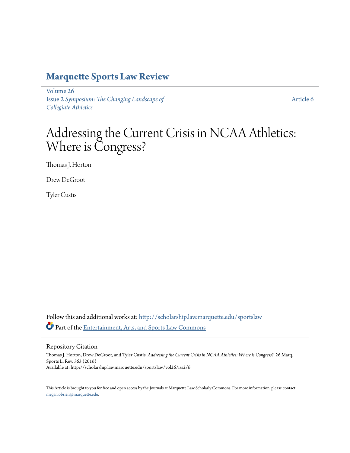# **[Marquette Sports Law Review](http://scholarship.law.marquette.edu/sportslaw?utm_source=scholarship.law.marquette.edu%2Fsportslaw%2Fvol26%2Fiss2%2F6&utm_medium=PDF&utm_campaign=PDFCoverPages)**

[Volume 26](http://scholarship.law.marquette.edu/sportslaw/vol26?utm_source=scholarship.law.marquette.edu%2Fsportslaw%2Fvol26%2Fiss2%2F6&utm_medium=PDF&utm_campaign=PDFCoverPages) Issue 2 *[Symposium: The Changing Landscape of](http://scholarship.law.marquette.edu/sportslaw/vol26/iss2?utm_source=scholarship.law.marquette.edu%2Fsportslaw%2Fvol26%2Fiss2%2F6&utm_medium=PDF&utm_campaign=PDFCoverPages) [Collegiate Athletics](http://scholarship.law.marquette.edu/sportslaw/vol26/iss2?utm_source=scholarship.law.marquette.edu%2Fsportslaw%2Fvol26%2Fiss2%2F6&utm_medium=PDF&utm_campaign=PDFCoverPages)*

[Article 6](http://scholarship.law.marquette.edu/sportslaw/vol26/iss2/6?utm_source=scholarship.law.marquette.edu%2Fsportslaw%2Fvol26%2Fiss2%2F6&utm_medium=PDF&utm_campaign=PDFCoverPages)

# Addressing the Current Crisis in NCAA Athletics: Where is Congress?

Thomas J. Horton

Drew DeGroot

Tyler Custis

Follow this and additional works at: [http://scholarship.law.marquette.edu/sportslaw](http://scholarship.law.marquette.edu/sportslaw?utm_source=scholarship.law.marquette.edu%2Fsportslaw%2Fvol26%2Fiss2%2F6&utm_medium=PDF&utm_campaign=PDFCoverPages) Part of the [Entertainment, Arts, and Sports Law Commons](http://network.bepress.com/hgg/discipline/893?utm_source=scholarship.law.marquette.edu%2Fsportslaw%2Fvol26%2Fiss2%2F6&utm_medium=PDF&utm_campaign=PDFCoverPages)

Repository Citation

Thomas J. Horton, Drew DeGroot, and Tyler Custis, *Addressing the Current Crisis in NCAA Athletics: Where is Congress?*, 26 Marq. Sports L. Rev. 363 (2016) Available at: http://scholarship.law.marquette.edu/sportslaw/vol26/iss2/6

This Article is brought to you for free and open access by the Journals at Marquette Law Scholarly Commons. For more information, please contact [megan.obrien@marquette.edu.](mailto:megan.obrien@marquette.edu)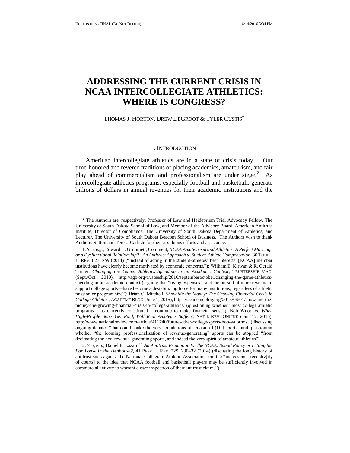## **ADDRESSING THE CURRENT CRISIS IN NCAA INTERCOLLEGIATE ATHLETICS: WHERE IS CONGRESS?**

THOMAS J. HORTON, DREW DEGROOT & TYLER CUSTIS<sup>\*</sup>

### I. INTRODUCTION

American intercollegiate athletics are in a state of crisis today.<sup>1</sup> Our time-honored and revered traditions of placing academics, amateurism, and fair play ahead of commercialism and professionalism are under siege. $2$  As intercollegiate athletics programs, especially football and basketball, generate billions of dollars in annual revenues for their academic institutions and the

<sup>\*</sup> The Authors are, respectively, Professor of Law and Heidepriem Trial Advocacy Fellow, The University of South Dakota School of Law, and Member of the Advisory Board, American Antitrust Institute; Director of Compliance, The University of South Dakota Department of Athletics; and Lecturer, The University of South Dakota Beacom School of Business. The Authors wish to thank Anthony Sutton and Teresa Carlisle for their assiduous efforts and assistance.

<sup>1.</sup> *See, e.g.*, Edward H. Grimmett, Comment, *NCAA Amateurism and Athletics: A Perfect Marriage or a Dysfunctional Relationship? –An Antitrust Approach to Student-Athlete Compensation*, 30 TOURO L. REV. 823, 859 (2014) ("Instead of acting in the student-athletes' best interests, [NCAA] member institutions have clearly become motivated by economic concerns."); William E. Kirwan & R. Gerald Turner, *Changing the Game: Athletics Spending in an Academic Context*, TRUSTEESHIP MAG. (Sept./Oct. 2010), http://agb.org/trusteeship/2010/septemberoctober/changing-the-game-athleticsspending-in-an-academic-context (arguing that "rising expenses—and the pursuit of more revenue to support college sports—have become a destabilizing force for many institutions, regardless of athletic mission or program size"); Brian C. Mitchell, *Show Me the Money: The Growing Financial Crisis in College Athletics*, ACADEME BLOG (June 1, 2015), https://academeblog.org/2015/06/01/show-me-themoney-the-growing-financial-crisis-in-college-athletics/ (questioning whether "most college athletic programs – as currently constituted – continue to make financial sense"); Bob Wuornos, *When High-Profile Stars Get Paid, Will Real Amateurs Suffer?*, NAT'L REV. ONLINE (Jan. 17, 2015), http://www.nationalreview.com/article/411740/future-other-college-sports-bob-wuornos (discussing ongoing debates "that could shake the very foundations of Division I (D1) sports" and questioning whether "the looming professionalization of revenue-generating" sports can be stopped "from decimating the non-revenue-generating sports, and indeed the very spirit of amateur athletics").

<sup>2.</sup> *See, e.g.*, Daniel E. Lazaroff, *An Antitrust Exemption for the NCAA: Sound Policy or Letting the Fox Loose in the Henhouse?*, 41 PEPP. L. REV. 229, 230–32 (2014) (discussing the long history of antitrust suits against the National Collegiate Athletic Association and the "increasing[] receptiv[ity of courts] to the idea that NCAA football and basketball players may be sufficiently involved in commercial activity to warrant closer inspection of their antitrust claims").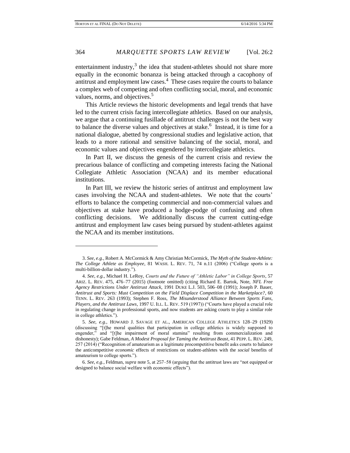entertainment industry, $3$  the idea that student-athletes should not share more equally in the economic bonanza is being attacked through a cacophony of antitrust and employment law cases.<sup>4</sup> These cases require the courts to balance a complex web of competing and often conflicting social, moral, and economic values, norms, and objectives.<sup>5</sup>

This Article reviews the historic developments and legal trends that have led to the current crisis facing intercollegiate athletics. Based on our analysis, we argue that a continuing fusillade of antitrust challenges is not the best way to balance the diverse values and objectives at stake.<sup>6</sup> Instead, it is time for a national dialogue, abetted by congressional studies and legislative action, that leads to a more rational and sensitive balancing of the social, moral, and economic values and objectives engendered by intercollegiate athletics.

In Part II, we discuss the genesis of the current crisis and review the precarious balance of conflicting and competing interests facing the National Collegiate Athletic Association (NCAA) and its member educational institutions.

In Part III, we review the historic series of antitrust and employment law cases involving the NCAA and student-athletes. We note that the courts' efforts to balance the competing commercial and non-commercial values and objectives at stake have produced a hodge-podge of confusing and often conflicting decisions. We additionally discuss the current cutting-edge antitrust and employment law cases being pursued by student-athletes against the NCAA and its member institutions.

<sup>3.</sup> *See, e.g.*, Robert A. McCormick & Amy Christian McCormick, *The Myth of the Student-Athlete: The College Athlete as Employee*, 81 WASH. L. REV. 71, 74 n.11 (2006) ("College sports is a multi-billion-dollar industry.").

<sup>4.</sup> *See, e.g.*, Michael H. LeRoy, *Courts and the Future of "Athletic Labor" in College Sports*, 57 ARIZ. L. REV. 475, 476–77 (2015) (footnote omitted) (citing Richard E. Bartok, Note, *NFL Free Agency Restrictions Under Antitrust Attack*, 1991 DUKE L.J. 503, 506–08 (1991); Joseph P. Bauer, *Antitrust and Sports: Must Competition on the Field Displace Competition in the Marketplace?*, 60 TENN. L. REV. 263 (1993); Stephen F. Ross, *The Misunderstood Alliance Between Sports Fans, Players, and the Antitrust Laws*, 1997 U. ILL. L. REV. 519 (1997)) ("Courts have played a crucial role in regulating change in professional sports, and now students are asking courts to play a similar role in college athletics.").

<sup>5.</sup> *See, e.g.*, HOWARD J. SAVAGE ET AL., AMERICAN COLLEGE ATHLETICS 128–29 (1929) (discussing "[t]he moral qualities that participation in college athletics is widely supposed to engender," and "[t]he impairment of moral stamina" resulting from commercialization and dishonesty); Gabe Feldman, *A Modest Proposal for Taming the Antitrust Beast*, 41 PEPP. L. REV. 249, 257 (2014) ("Recognition of amateurism as a legitimate procompetitive benefit asks courts to balance the anticompetitive *economic* effects of restrictions on student-athletes with the *social* benefits of amateurism to college sports.").

<sup>6.</sup> *See, e.g.*, Feldman, *supra* note 5, at 257–58 (arguing that the antitrust laws are "not equipped or designed to balance social welfare with economic effects").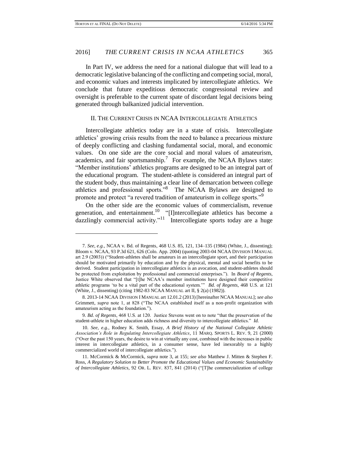In Part IV, we address the need for a national dialogue that will lead to a democratic legislative balancing of the conflicting and competing social, moral, and economic values and interests implicated by intercollegiate athletics. We conclude that future expeditious democratic congressional review and oversight is preferable to the current spate of discordant legal decisions being generated through balkanized judicial intervention.

### II. THE CURRENT CRISIS IN NCAA INTERCOLLEGIATE ATHLETICS

Intercollegiate athletics today are in a state of crisis. Intercollegiate athletics' growing crisis results from the need to balance a precarious mixture of deeply conflicting and clashing fundamental social, moral, and economic values. On one side are the core social and moral values of amateurism, academics, and fair sportsmanship.<sup>7</sup> For example, the NCAA Bylaws state: "Member institutions' athletics programs are designed to be an integral part of the educational program. The student-athlete is considered an integral part of the student body, thus maintaining a clear line of demarcation between college athletics and professional sports."<sup>8</sup> The NCAA Bylaws are designed to promote and protect "a revered tradition of amateurism in college sports."<sup>9</sup>

On the other side are the economic values of commercialism, revenue generation, and entertainment.<sup>10</sup> "[I]ntercollegiate athletics has become a  $dazzlingly commercial activity.<sup>11</sup> Intercollecting to do not work.$ 

<sup>7.</sup> *See, e.g.*, NCAA v. Bd. of Regents*,* 468 U.S. 85, 121, 134–135 (1984) (White, J., dissenting); Bloom v. NCAA, 93 P.3d 621, 626 (Colo. App. 2004) (quoting 2003-04 NCAA DIVISION I MANUAL art 2.9 (2003)) ("Student-athletes shall be amateurs in an intercollegiate sport, and their participation should be motivated primarily by education and by the physical, mental and social benefits to be derived. Student participation in intercollegiate athletics is an avocation, and student-athletes should be protected from exploitation by professional and commercial enterprises."). In *Board of Regents*, Justice White observed that "[t]he NCAA's member institutions have designed their competitive athletic programs 'to be a vital part of the educational system.'" *Bd. of Regents*, 468 U.S. at 121 (White, J., dissenting) (citing 1982-83 NCAA MANUAL art II, § 2(a) (1982)).

<sup>8.</sup> 2013-14 NCAA DIVISION I MANUAL art 12.01.2 (2013) [hereinafter NCAA MANUAL]; *see also* Grimmett, *supra* note 1, at 828 ("The NCAA established itself as a non-profit organization with amateurism acting as the foundation.").

<sup>9.</sup> *Bd. of Regents*, 468 U.S. at 120. Justice Stevens went on to note "that the preservation of the student-athlete in higher education adds richness and diversity to intercollegiate athletics." *Id.*

<sup>10.</sup> *See, e.g.*, Rodney K. Smith, Essay, *A Brief History of the National Collegiate Athletic Association's Role in Regulating Intercollegiate Athletics*, 11 MARQ. SPORTS L. REV. 9, 21 (2000) ("Over the past 150 years, the desire to win at virtually any cost, combined with the increases in public interest in intercollegiate athletics, in a consumer sense, have led inexorably to a highly commercialized world of intercollegiate athletics.").

<sup>11.</sup> McCormick & McCormick, *supra* note 3, at 155; *see also* Matthew J. Mitten & Stephen F. Ross, *A Regulatory Solution to Better Promote the Educational Values and Economic Sustainability of Intercollegiate Athletics*, 92 OR. L. REV. 837, 841 (2014) ("[T]he commercialization of college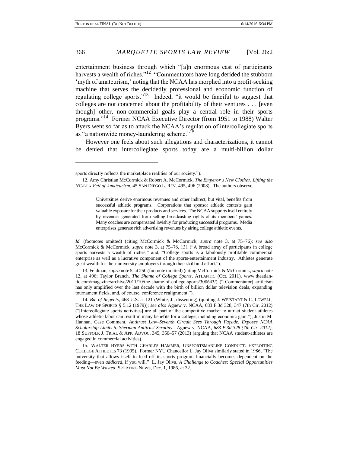entertainment business through which "[a]n enormous cast of participants harvests a wealth of riches."<sup>12"</sup> "Commentators have long derided the stubborn 'myth of amateurism,' noting that the NCAA has morphed into a profit-seeking machine that serves the decidedly professional and economic function of regulating college sports."<sup>13</sup> Indeed, "it would be fanciful to suggest that colleges are not concerned about the profitability of their ventures . . . [even though] other, non-commercial goals play a central role in their sports programs."<sup>14</sup> Former NCAA Executive Director (from 1951 to 1988) Walter Byers went so far as to attack the NCAA's regulation of intercollegiate sports as "a nationwide money-laundering scheme."<sup>15</sup>

However one feels about such allegations and characterizations, it cannot be denied that intercollegiate sports today are a multi-billion dollar

Universities derive enormous revenues and other indirect, but vital, benefits from successful athletic programs. Corporations that sponsor athletic contests gain valuable exposure for their products and services. The NCAA supports itself entirely by revenues generated from selling broadcasting rights of its members' games. Many coaches are compensated lavishly for producing successful programs. Media enterprises generate rich advertising revenues by airing college athletic events.

*Id.* (footnotes omitted) (citing McCormick & McCormick, *supra* note 3, at 75–76); *see also* McCormick & McCormick, *supra* note 3, at 75–76, 131 ("A broad array of participants in college sports harvests a wealth of riches," and, "College sports is a fabulously profitable commercial enterprise as well as a lucrative component of the sports-entertainment industry. Athletes generate great wealth for their university-employers through their skill and effort.").

13. Feldman, *supra* note 5, at 250 (footnote omitted) (citing McCormick & McCormick, *supra* note 12, at 496; Taylor Branch, *The Shame of College Sports*, ATLANTIC (Oct. 2011), www.theatlantic.com/magazine/archive/2011/10/the-shame-of-college-sports/308643/) ("[Commentator] criticism has only amplified over the last decade with the birth of billion dollar television deals, expanding tournament fields, and, of course, conference realignment.").

14. *Bd. of Regents*, 468 U.S. at 121 (White, J., dissenting) (quoting J. WEISTART & C. LOWELL, THE LAW OF SPORTS § 5.12 (1979)); *see also* Agnew v. NCAA, 683 F.3d 328, 347 (7th Cir. 2012) ("[Intercollegiate sports activities] are all part of the competitive market to attract student-athletes whose athletic labor can result in many benefits for a college, including economic gain."); Justin M. Hannan, Case Comment, *Antitrust Law–Seventh Circuit Sees Through Façade, Exposes NCAA Scholarship Limits to Sherman Antitrust Scrutiny—*Agnew v. NCAA, *683 F.3d 328 (7th Cir. 2012)*, 18 SUFFOLK J. TRIAL & APP. ADVOC. 345, 350–57 (2013) (arguing that NCAA student-athletes are engaged in commercial activities).

15. WALTER BYERS WITH CHARLES HAMMER, UNSPORTSMANLIKE CONDUCT: EXPLOITING COLLEGE ATHLETES 73 (1995). Former NYU Chancellor L. Jay Oliva similarly stated in 1986, "The university that allows itself to feed off its sports program financially becomes dependent on the feeding—even *addicted*, if you will." L. Jay Oliva, *A Challenge to Coaches: Special Opportunities Must Not Be Wasted*, SPORTING NEWS, Dec. 1, 1986, at 32.

sports directly reflects the marketplace realities of our society.").

<sup>12.</sup> Amy Christian McCormick & Robert A. McCormick, *The Emperor's New Clothes: Lifting the NCAA's Veil of Amateurism*, 45 SAN DIEGO L. REV. 495, 496 (2008). The authors observe,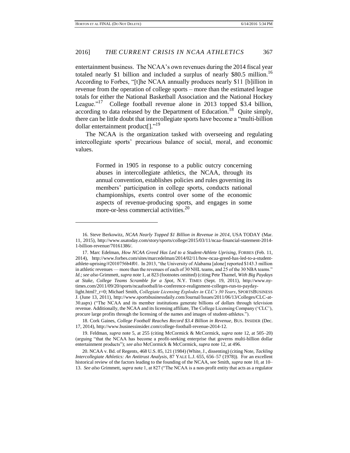entertainment business. The NCAA's own revenues during the 2014 fiscal year totaled nearly \$1 billion and included a surplus of nearly \$80.5 million.<sup>16</sup> According to Forbes, "[t]he NCAA annually produces nearly \$11 [b]illion in revenue from the operation of college sports – more than the estimated league totals for either the National Basketball Association and the National Hockey League."<sup>17</sup> College football revenue alone in 2013 topped \$3.4 billion, according to data released by the Department of Education.<sup>18</sup> Quite simply, there can be little doubt that intercollegiate sports have become a "multi-billion dollar entertainment product[]."<sup>19</sup>

The NCAA is the organization tasked with overseeing and regulating intercollegiate sports' precarious balance of social, moral, and economic values.

> Formed in 1905 in response to a public outcry concerning abuses in intercollegiate athletics, the NCAA, through its annual convention, establishes policies and rules governing its members' participation in college sports, conducts national championships, exerts control over some of the economic aspects of revenue-producing sports, and engages in some more-or-less commercial activities.<sup>20</sup>

 $\overline{\phantom{a}}$ 

20. NCAA v. Bd. of Regents, 468 U.S. 85, 121 (1984) (White, J., dissenting) (citing Note, *Tackling Intercollegiate Athletics: An Antitrust Analysis*, 87 YALE L.J. 655, 656–57 (1978)). For an excellent historical review of the factors leading to the founding of the NCAA, see Smith, *supra* note 10, at 10– 13. *See also* Grimmett, *supra* note 1, at 827 ("The NCAA is a non-profit entity that acts as a regulator

<sup>16.</sup> Steve Berkowitz, *NCAA Nearly Topped \$1 Billion in Revenue in 2014*, USA TODAY (Mar. 11, 2015), http://www.usatoday.com/story/sports/college/2015/03/11/ncaa-financial-statement-2014- 1-billion-revenue/70161386/.

<sup>17.</sup> Marc Edelman, *How NCAA Greed Has Led to a Student-Athlete Uprising*, FORBES (Feb. 11, 2014), http://www.forbes.com/sites/marcedelman/2014/02/11/how-ncaa-greed-has-led-to-a-studentathlete-uprising/#2010756b4f01. In 2013, "the University of Alabama [alone] reported \$143.3 million in athletic revenues — more than the revenues of each of 30 NHL teams, and 25 of the 30 NBA teams." *Id.*; *see also* Grimmett, *supra* note 1, at 823 (footnotes omitted) (citing Pete Thamel, *With Big Paydays at Stake, College Teams Scramble for a Spot*, N.Y. TIMES (Sept. 19, 2011), http://www.nytimes.com/2011/09/20/sports/ncaafootball/in-conference-realignment-colleges-run-to-paydaylight.html?\_r=0; Michael Smith, *Collegiate Licensing Explodes in CLC's 30 Years*, SPORTSBUSINESS J. (June 13, 2011), http://www.sportsbusinessdaily.com/Journal/Issues/2011/06/13/Colleges/CLC-at-30.aspx) ("The NCAA and its member institutions generate billions of dollars through television revenue. Additionally, the NCAA and its licensing affiliate, The College Licensing Company ('CLC'), procure large profits through the licensing of the names and images of student-athletes.").

<sup>18.</sup> Cork Gaines, *College Football Reaches Record \$3.4 Billion in Revenue*, BUS. INSIDER (Dec. 17, 2014), http://www.businessinsider.com/college-football-revenue-2014-12.

<sup>19.</sup> Feldman, *supra* note 5, at 255 (citing McCormick & McCormick, *supra* note 12, at 505–20) (arguing "that the NCAA has become a profit-seeking enterprise that governs multi-billion dollar entertainment products"); *see also* McCormick & McCormick, *supra* note 12, at 496.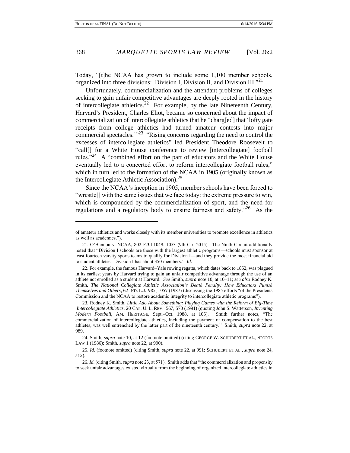Today, "[t]he NCAA has grown to include some 1,100 member schools, organized into three divisions: Division I, Division II, and Division III.<sup>721</sup>

Unfortunately, commercialization and the attendant problems of colleges seeking to gain unfair competitive advantages are deeply rooted in the history of intercollegiate athletics.<sup>22</sup> For example, by the late Nineteenth Century, Harvard's President, Charles Eliot, became so concerned about the impact of commercialization of intercollegiate athletics that he "charg[ed] that 'lofty gate receipts from college athletics had turned amateur contests into major commercial spectacles."<sup>23</sup> "Rising concerns regarding the need to control the excesses of intercollegiate athletics" led President Theodore Roosevelt to "call[] for a White House conference to review [intercollegiate] football rules."<sup>24</sup> A "combined effort on the part of educators and the White House eventually led to a concerted effort to reform intercollegiate football rules," which in turn led to the formation of the NCAA in 1905 (originally known as the Intercollegiate Athletic Association).<sup>25</sup>

Since the NCAA's inception in 1905, member schools have been forced to "wrestle[] with the same issues that we face today: the extreme pressure to win, which is compounded by the commercialization of sport, and the need for regulations and a regulatory body to ensure fairness and safety.<sup>"26</sup> As the

of amateur athletics and works closely with its member universities to promote excellence in athletics as well as academics.").

<sup>21.</sup> O'Bannon v. NCAA, 802 F.3d 1049, 1053 (9th Cir. 2015). The Ninth Circuit additionally noted that "Division I schools are those with the largest athletic programs—schools must sponsor at least fourteen varsity sports teams to qualify for Division I—and they provide the most financial aid to student athletes. Division I has about 350 members." *Id.*

<sup>22.</sup> For example, the famous Harvard–Yale rowing regatta, which dates back to 1852, was plagued in its earliest years by Harvard trying to gain an unfair competitive advantage through the use of an athlete not enrolled as a student at Harvard. *See* Smith, *supra* note 10, at 10–11; *see also* Rodney K. Smith, *The National Collegiate Athletic Association's Death Penalty: How Educators Punish Themselves and Others*, 62 IND. L.J. 985, 1057 (1987) (discussing the 1985 efforts "of the Presidents Commission and the NCAA to restore academic integrity to intercollegiate athletic programs").

<sup>23.</sup> Rodney K. Smith, *Little Ado About Something: Playing Games with the Reform of Big-Time Intercollegiate Athletics*, 20 CAP. U. L. REV. 567, 570 (1991) (quoting John S. Watterson, *Inventing Modern Football*, AM. HERITAGE, Sept.–Oct. 1988, at 105). Smith further notes, "The commercialization of intercollegiate athletics, including the payment of compensation to the best athletes, was well entrenched by the latter part of the nineteenth century." Smith, *supra* note 22, at 989.

<sup>24.</sup> Smith, *supra* note 10, at 12 (footnote omitted) (citing GEORGE W. SCHUBERT ET AL., SPORTS LAW 1 (1986); Smith, *supra* note 22, at 990).

<sup>25.</sup> *Id.* (footnote omitted) (citing Smith, *supra* note 22, at 991; SCHUBERT ET AL., *supra* note 24, at 2).

<sup>26.</sup> *Id.* (citing Smith, *supra* note 23, at 571). Smith adds that "the commercialization and propensity to seek unfair advantages existed virtually from the beginning of organized intercollegiate athletics in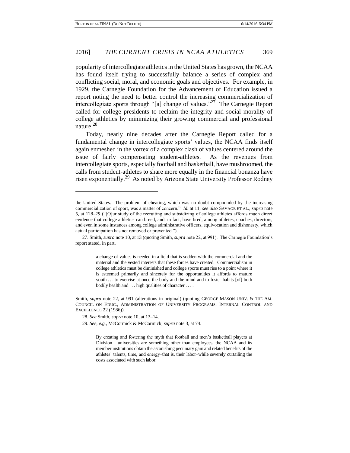popularity of intercollegiate athletics in the United States has grown, the NCAA has found itself trying to successfully balance a series of complex and conflicting social, moral, and economic goals and objectives. For example, in 1929, the Carnegie Foundation for the Advancement of Education issued a report noting the need to better control the increasing commercialization of intercollegiate sports through "[a] change of values." $27$  The Carnegie Report called for college presidents to reclaim the integrity and social morality of college athletics by minimizing their growing commercial and professional nature.<sup>28</sup>

Today, nearly nine decades after the Carnegie Report called for a fundamental change in intercollegiate sports' values, the NCAA finds itself again enmeshed in the vortex of a complex clash of values centered around the issue of fairly compensating student-athletes. As the revenues from intercollegiate sports, especially football and basketball, have mushroomed, the calls from student-athletes to share more equally in the financial bonanza have risen exponentially.<sup>29</sup> As noted by Arizona State University Professor Rodney

a change of values is needed in a field that is sodden with the commercial and the material and the vested interests that these forces have created. Commercialism in college athletics must be diminished and college sports must rise to a point where it is esteemed primarily and sincerely for the opportunities it affords to mature youth . . . to exercise at once the body and the mind and to foster habits [of] both bodily health and . . . high qualities of character . . . .

Smith, *supra* note 22, at 991 (alterations in original) (quoting GEORGE MASON UNIV. & THE AM. COUNCIL ON EDUC., ADMINISTRATION OF UNIVERSITY PROGRAMS: INTERNAL CONTROL AND EXCELLENCE 22 (1986)).

28. *See* Smith, *supra* note 10, at 13–14.

l

29. *See, e.g.*, McCormick & McCormick, *supra* note 3, at 74.

By creating and fostering the myth that football and men's basketball players at Division I universities are something other than employees, the NCAA and its member institutions obtain the astonishing pecuniary gain and related benefits of the athletes' talents, time, and energy–that is, their labor–while severely curtailing the costs associated with such labor.

the United States. The problem of cheating, which was no doubt compounded by the increasing commercialization of sport, was a matter of concern." *Id.* at 11; *see also* SAVAGE ET AL., *supra* note 5, at 128–29 ("[O]ur study of the recruiting and subsidizing of college athletes affords much direct evidence that college athletics can breed, and, in fact, have bred, among athletes, coaches, directors, and even in some instances among college administrative officers, equivocation and dishonesty, which actual participation has not removed or prevented.").

<sup>27.</sup> Smith, *supra* note 10, at 13 (quoting Smith, *supra* note 22, at 991). The Carnegie Foundation's report stated, in part,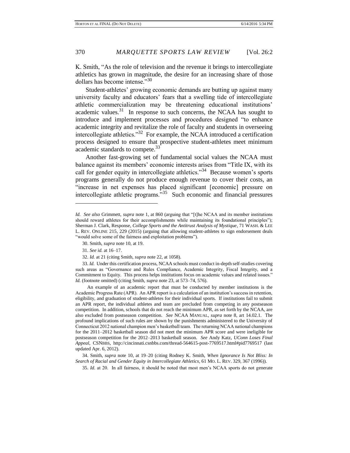K. Smith, "As the role of television and the revenue it brings to intercollegiate athletics has grown in magnitude, the desire for an increasing share of those dollars has become intense."<sup>30</sup>

Student-athletes' growing economic demands are butting up against many university faculty and educators' fears that a swelling tide of intercollegiate athletic commercialization may be threatening educational institutions' academic values. $31$  In response to such concerns, the NCAA has sought to introduce and implement processes and procedures designed "to enhance academic integrity and revitalize the role of faculty and students in overseeing intercollegiate athletics."<sup>32</sup> For example, the NCAA introduced a certification process designed to ensure that prospective student-athletes meet minimum academic standards to compete.<sup>33</sup>

Another fast-growing set of fundamental social values the NCAA must balance against its members' economic interests arises from "Title IX, with its call for gender equity in intercollegiate athletics."<sup>34</sup> Because women's sports programs generally do not produce enough revenue to cover their costs, an "increase in net expenses has placed significant [economic] pressure on intercollegiate athletic programs.<sup>35</sup> Such economic and financial pressures

 An example of an academic report that must be conducted by member institutions is the Academic Progress Rate (APR). An APR report is a calculation of an institution's success in retention, eligibility, and graduation of student-athletes for their individual sports. If institutions fail to submit an APR report, the individual athletes and team are precluded from competing in any postseason competition. In addition, schools that do not reach the minimum APR, as set forth by the NCAA, are also excluded from postseason competition. *See* NCAA MANUAL, *supra* note 8, art 14.02.1. The profound implications of such rules are shown by the punishments administered to the University of Connecticut 2012 national champion men's basketball team. The returning NCAA national champions for the 2011–2012 basketball season did not meet the minimum APR score and were ineligible for postseason competition for the 2012–2013 basketball season. *See* Andy Katz, *UConn Loses Final Appeal*, CSNBBS, http://cincinnati.csnbbs.com/thread-564615-post-7769517.html#pid7769517 (last updated Apr. 6, 2012).

34. Smith, *supra* note 10, at 19–20 (citing Rodney K. Smith, *When Ignorance Is Not Bliss: In Search of Racial and Gender Equity in Intercollegiate Athletics*, 61 MO. L. REV. 329, 367 (1996)).

35. *Id.* at 20. In all fairness, it should be noted that most men's NCAA sports do not generate

*Id. See also* Grimmett, *supra* note 1, at 860 (arguing that "[t]he NCAA and its member institutions should reward athletes for their accomplishments while maintaining its foundational principles"); Sherman J. Clark, Response, *College Sports and the Antitrust Analysis of Mystique*, 71 WASH. & LEE L. REV. ONLINE 215, 229 (2015) (arguing that allowing student-athletes to sign endorsement deals "would solve some of the fairness and exploitation problems").

<sup>30.</sup> Smith, *supra* note 10, at 19.

<sup>31.</sup> *See id.* at 16–17.

<sup>32.</sup> *Id.* at 21 (citing Smith, *supra* note 22, at 1058).

<sup>33.</sup> *Id.* Under this certification process, NCAA schools must conduct in-depth self-studies covering such areas as "Governance and Rules Compliance, Academic Integrity, Fiscal Integrity, and a Commitment to Equity. This process helps institutions focus on academic values and related issues." *Id.* (footnote omitted) (citing Smith, *supra* note 23, at 573–74, 576).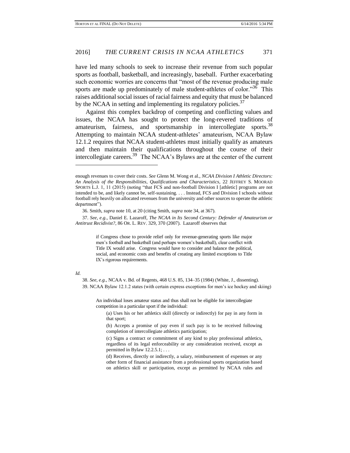have led many schools to seek to increase their revenue from such popular sports as football, basketball, and increasingly, baseball. Further exacerbating such economic worries are concerns that "most of the revenue producing male sports are made up predominately of male student-athletes of color.<sup>"36</sup> This raises additional social issues of racial fairness and equity that must be balanced by the NCAA in setting and implementing its regulatory policies.  $37$ 

Against this complex backdrop of competing and conflicting values and issues, the NCAA has sought to protect the long-revered traditions of amateurism, fairness, and sportsmanship in intercollegiate sports.<sup>38</sup> Attempting to maintain NCAA student-athletes' amateurism, NCAA Bylaw 12.1.2 requires that NCAA student-athletes must initially qualify as amateurs and then maintain their qualifications throughout the course of their intercollegiate careers.<sup>39</sup> The NCAA's Bylaws are at the center of the current

37. *See, e.g.*, Daniel E. Lazaroff, *The NCAA in Its Second Century: Defender of Amateurism or Antitrust Recidivist?*, 86 OR. L. REV. 329, 370 (2007). Lazaroff observes that

> if Congress chose to provide relief only for revenue-generating sports like major men's football and basketball (and perhaps women's basketball), clear conflict with Title IX would arise. Congress would have to consider and balance the political, social, and economic costs and benefits of creating any limited exceptions to Title IX's rigorous requirements.

### *Id.*

 $\overline{\phantom{a}}$ 

38. *See, e.g.*, NCAA v. Bd. of Regents, 468 U.S. 85, 134–35 (1984) (White, J., dissenting). 39. NCAA Bylaw 12.1.2 states (with certain express exceptions for men's ice hockey and skiing)

An individual loses amateur status and thus shall not be eligible for intercollegiate competition in a particular sport if the individual:

(a) Uses his or her athletics skill (directly or indirectly) for pay in any form in that sport;

(b) Accepts a promise of pay even if such pay is to be received following completion of intercollegiate athletics participation;

(c) Signs a contract or commitment of any kind to play professional athletics, regardless of its legal enforceability or any consideration received, except as permitted in Bylaw 12.2.5.1; . . .

(d) Receives, directly or indirectly, a salary, reimbursement of expenses or any other form of financial assistance from a professional sports organization based on athletics skill or participation, except as permitted by NCAA rules and

enough revenues to cover their costs. *See* Glenn M. Wong et al., *NCAA Division I Athletic Directors: An Analysis of the Responsibilities, Qualifications and Characteristics*, 22 JEFFREY S. MOORAD SPORTS L.J. 1, 11 (2015) (noting "that FCS and non-football Division I [athletic] programs are not intended to be, and likely cannot be, self-sustaining. . . . Instead, FCS and Division I schools without football rely heavily on allocated revenues from the university and other sources to operate the athletic department").

<sup>36.</sup> Smith, *supra* note 10, at 20 (citing Smith, *supra* note 34, at 367).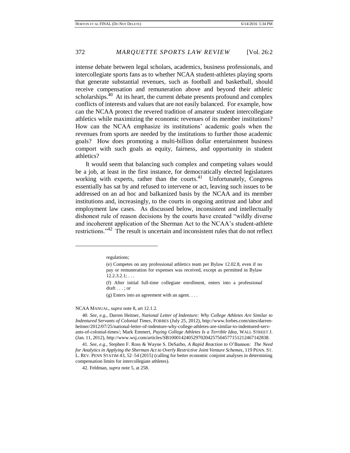intense debate between legal scholars, academics, business professionals, and intercollegiate sports fans as to whether NCAA student-athletes playing sports that generate substantial revenues, such as football and basketball, should receive compensation and remuneration above and beyond their athletic scholarships. $^{40}$  At its heart, the current debate presents profound and complex conflicts of interests and values that are not easily balanced. For example, how can the NCAA protect the revered tradition of amateur student intercollegiate athletics while maximizing the economic revenues of its member institutions? How can the NCAA emphasize its institutions' academic goals when the revenues from sports are needed by the institutions to further those academic goals? How does promoting a multi-billion dollar entertainment business comport with such goals as equity, fairness, and opportunity in student athletics?

It would seem that balancing such complex and competing values would be a job, at least in the first instance, for democratically elected legislatures working with experts, rather than the courts.<sup>41</sup> Unfortunately, Congress essentially has sat by and refused to intervene or act, leaving such issues to be addressed on an ad hoc and balkanized basis by the NCAA and its member institutions and, increasingly, to the courts in ongoing antitrust and labor and employment law cases. As discussed below, inconsistent and intellectually dishonest rule of reason decisions by the courts have created "wildly diverse and incoherent application of the Sherman Act to the NCAA's student-athlete restrictions."<sup>42</sup> The result is uncertain and inconsistent rules that do not reflect

(f) After initial full-time collegiate enrollment, enters into a professional draft . . . ; or

(g) Enters into an agreement with an agent. . . .

#### NCAA MANUAL, *supra* note 8, art 12.1.2.

40. *See, e.g.*, Darren Heitner, *National Letter of Indenture: Why College Athletes Are Similar to Indentured Servants of Colonial Times*, FORBES (July 25, 2012), http://www.forbes.com/sites/darrenheitner/2012/07/25/national-letter-of-indenture-why-college-athletes-are-similar-to-indentured-servants-of-colonial-times/; Mark Emmert, *Paying College Athletes Is a Terrible Idea*, WALL STREET J. (Jan. 11, 2012), http://www.wsj.com/articles/SB10001424052970204257504577151212467142838.

41. *See, e.g.*, Stephen F. Ross & Wayne S. DeSarbo, *A Rapid Reaction to* O'Bannon*: The Need for Analytics in Applying the Sherman Act to Overly Restrictive Joint Venture Schemes*, 119 PENN. ST. L. REV. PENN STATIM 43, 52–54 (2015) (calling for better economic conjoint analyses in determining compensation limits for intercollegiate athletes).

42. Feldman, *supra* note 5, at 258.

regulations;

<sup>(</sup>e) Competes on any professional athletics team per Bylaw 12.02.8, even if no pay or remuneration for expenses was received, except as permitted in Bylaw  $12.2.3.2.1; \ldots$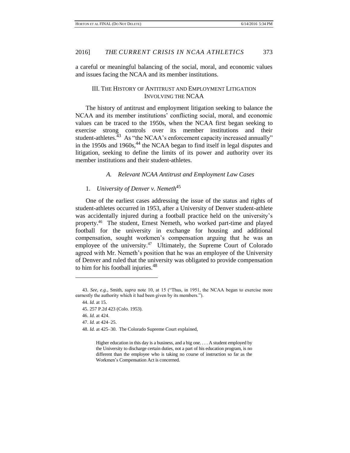a careful or meaningful balancing of the social, moral, and economic values and issues facing the NCAA and its member institutions.

### III. THE HISTORY OF ANTITRUST AND EMPLOYMENT LITIGATION INVOLVING THE NCAA

The history of antitrust and employment litigation seeking to balance the NCAA and its member institutions' conflicting social, moral, and economic values can be traced to the 1950s, when the NCAA first began seeking to exercise strong controls over its member institutions and their student-athletes. $43$  As "the NCAA's enforcement capacity increased annually" in the 1950s and 1960s, $44$  the NCAA began to find itself in legal disputes and litigation, seeking to define the limits of its power and authority over its member institutions and their student-athletes.

### *A. Relevant NCAA Antitrust and Employment Law Cases*

### 1. *University of Denver v. Nemeth*<sup>45</sup>

One of the earliest cases addressing the issue of the status and rights of student-athletes occurred in 1953, after a University of Denver student-athlete was accidentally injured during a football practice held on the university's property.<sup>46</sup> The student, Ernest Nemeth, who worked part-time and played football for the university in exchange for housing and additional compensation, sought workmen's compensation arguing that he was an employee of the university.<sup>47</sup> Ultimately, the Supreme Court of Colorado agreed with Mr. Nemeth's position that he was an employee of the University of Denver and ruled that the university was obligated to provide compensation to him for his football injuries.<sup>48</sup>

44. *Id.* at 15. 45. 257 P.2d 423 (Colo. 1953). 46. *Id.* at 424. 47. *Id.* at 424–25. 48. *Id.* at 425–30. The Colorado Supreme Court explained,

 $\overline{a}$ 

Higher education in this day is a business, and a big one. . . . A student employed by the University to discharge certain duties, not a part of his education program, is no different than the employee who is taking no course of instruction so far as the Workmen's Compensation Act is concerned.

<sup>43.</sup> *See, e.g.*, Smith, *supra* note 10, at 15 ("Thus, in 1951, the NCAA began to exercise more earnestly the authority which it had been given by its members.").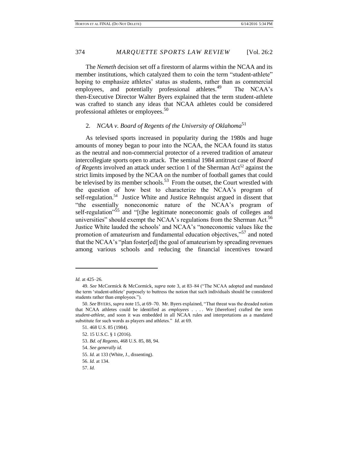The *Nemeth* decision set off a firestorm of alarms within the NCAA and its member institutions, which catalyzed them to coin the term "student-athlete" hoping to emphasize athletes' status as students, rather than as commercial employees, and potentially professional athletes.<sup>49</sup> The NCAA's then-Executive Director Walter Byers explained that the term student-athlete was crafted to stanch any ideas that NCAA athletes could be considered professional athletes or employees.<sup>50</sup>

### 2*. NCAA v. Board of Regents of the University of Oklahoma*<sup>51</sup>

As televised sports increased in popularity during the 1980s and huge amounts of money began to pour into the NCAA, the NCAA found its status as the neutral and non-commercial protector of a revered tradition of amateur intercollegiate sports open to attack. The seminal 1984 antitrust case of *Board of Regents* involved an attack under section 1 of the Sherman Act<sup>52</sup> against the strict limits imposed by the NCAA on the number of football games that could be televised by its member schools.<sup>53</sup> From the outset, the Court wrestled with the question of how best to characterize the NCAA's program of self-regulation.<sup>54</sup> Justice White and Justice Rehnquist argued in dissent that "the essentially noneconomic nature of the NCAA's program of self-regulation<sup>355</sup> and "[t]he legitimate noneconomic goals of colleges and universities" should exempt the NCAA's regulations from the Sherman Act.<sup>56</sup> Justice White lauded the schools' and NCAA's "noneconomic values like the promotion of amateurism and fundamental education objectives,"<sup>57</sup> and noted that the NCAA's "plan foster[ed] the goal of amateurism by spreading revenues among various schools and reducing the financial incentives toward

*Id.* at 425–26.

<sup>49.</sup> *See* McCormick & McCormick, *supra* note 3, at 83–84 ("The NCAA adopted and mandated the term 'student-athlete' purposely to buttress the notion that such individuals should be considered students rather than employees.").

<sup>50.</sup> *See* BYERS, *supra* note 15, at 69–70. Mr. Byers explained, "That threat was the dreaded notion that NCAA athletes could be identified as *employees* . . . . We [therefore] crafted the term *student-athlete*, and soon it was embedded in all NCAA rules and interpretations as a mandated substitute for such words as players and athletes." *Id*. at 69.

<sup>51. 468</sup> U.S. 85 (1984).

<sup>52. 15</sup> U.S.C. § 1 (2016).

<sup>53.</sup> *Bd. of Regents*, 468 U.S. 85, 88, 94.

<sup>54.</sup> *See generally id.*

<sup>55.</sup> *Id.* at 133 (White, J., dissenting).

<sup>56.</sup> *Id.* at 134.

<sup>57.</sup> *Id.*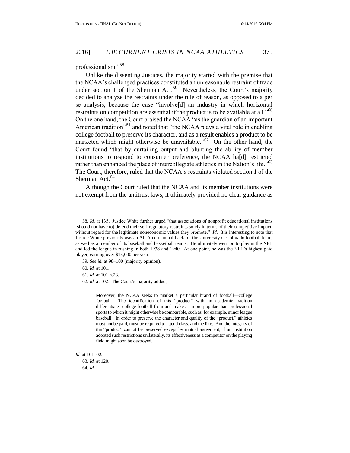professionalism."<sup>58</sup>

Unlike the dissenting Justices, the majority started with the premise that the NCAA's challenged practices constituted an unreasonable restraint of trade under section 1 of the Sherman Act.<sup>59</sup> Nevertheless, the Court's majority decided to analyze the restraints under the rule of reason, as opposed to a per se analysis, because the case "involve[d] an industry in which horizontal restraints on competition are essential if the product is to be available at all."<sup>60</sup> On the one hand, the Court praised the NCAA "as the guardian of an important American tradition"<sup>61</sup> and noted that "the NCAA plays a vital role in enabling college football to preserve its character, and as a result enables a product to be marketed which might otherwise be unavailable."<sup>62</sup> On the other hand, the Court found "that by curtailing output and blunting the ability of member institutions to respond to consumer preference, the NCAA ha[d] restricted rather than enhanced the place of intercollegiate athletics in the Nation's life."<sup>63</sup> The Court, therefore, ruled that the NCAA's restraints violated section 1 of the Sherman Act.<sup>64</sup>

Although the Court ruled that the NCAA and its member institutions were not exempt from the antitrust laws, it ultimately provided no clear guidance as

60. *Id.* at 101.

l

Moreover, the NCAA seeks to market a particular brand of football—college football. The identification of this "product" with an academic tradition differentiates college football from and makes it more popular than professional sports to which it might otherwise be comparable, such as, for example, minor league baseball. In order to preserve the character and quality of the "product," athletes must not be paid, must be required to attend class, and the like. And the integrity of the "product" cannot be preserved except by mutual agreement; if an institution adopted such restrictions unilaterally, its effectiveness as a competitor on the playing field might soon be destroyed.

*Id.* at 101–02.

63. *Id.* at 120. 64. *Id.*

<sup>58.</sup> *Id.* at 135. Justice White further urged "that associations of nonprofit educational institutions [should not have to] defend their self-regulatory restraints solely in terms of their competitive impact, without regard for the legitimate noneconomic values they promote." *Id.* It is interesting to note that Justice White previously was an All-American halfback for the University of Colorado football team, as well as a member of its baseball and basketball teams. He ultimately went on to play in the NFL and led the league in rushing in both 1938 and 1940. At one point, he was the NFL's highest paid player, earning over \$15,000 per year.

<sup>59.</sup> *See id.* at 98–100 (majority opinion).

<sup>61.</sup> *Id.* at 101 n.23.

<sup>62.</sup> *Id.* at 102. The Court's majority added,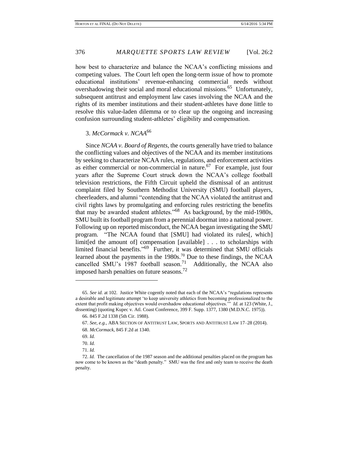how best to characterize and balance the NCAA's conflicting missions and competing values. The Court left open the long-term issue of how to promote educational institutions' revenue-enhancing commercial needs without overshadowing their social and moral educational missions.<sup>65</sup> Unfortunately, subsequent antitrust and employment law cases involving the NCAA and the rights of its member institutions and their student-athletes have done little to resolve this value-laden dilemma or to clear up the ongoing and increasing confusion surrounding student-athletes' eligibility and compensation.

3. *McCormack v. NCAA*<sup>66</sup>

Since *NCAA v. Board of Regents*, the courts generally have tried to balance the conflicting values and objectives of the NCAA and its member institutions by seeking to characterize NCAA rules, regulations, and enforcement activities as either commercial or non-commercial in nature.<sup>67</sup> For example, just four years after the Supreme Court struck down the NCAA's college football television restrictions, the Fifth Circuit upheld the dismissal of an antitrust complaint filed by Southern Methodist University (SMU) football players, cheerleaders, and alumni "contending that the NCAA violated the antitrust and civil rights laws by promulgating and enforcing rules restricting the benefits that may be awarded student athletes."<sup>68</sup> As background, by the mid-1980s, SMU built its football program from a perennial doormat into a national power. Following up on reported misconduct, the NCAA began investigating the SMU program. "The NCAA found that [SMU] had violated its rules[, which] limit[ed the amount of] compensation [available] . . . to scholarships with limited financial benefits." 69 Further, it was determined that SMU officials learned about the payments in the  $1980s$ .<sup>70</sup> Due to these findings, the NCAA cancelled SMU's 1987 football season.<sup>71</sup> Additionally, the NCAA also imposed harsh penalties on future seasons.<sup>72</sup>

<sup>65.</sup> *See id.* at 102. Justice White cogently noted that each of the NCAA's "regulations represents a desirable and legitimate attempt 'to keep university athletics from becoming professionalized to the extent that profit making objectives would overshadow educational objectives.'" *Id.* at 123 (White, J., dissenting) (quoting Kupec v. Atl. Coast Conference, 399 F. Supp. 1377, 1380 (M.D.N.C. 1975)).

<sup>66. 845</sup> F.2d 1338 (5th Cir. 1988).

<sup>67.</sup> *See, e.g.*, ABA SECTION OF ANTITRUST LAW, SPORTS AND ANTITRUST LAW 17–28 (2014). 68. *McCormack*, 845 F.2d at 1340.

<sup>69.</sup> *Id.*

<sup>70.</sup> *Id.* 

<sup>71.</sup> *Id.*

<sup>72.</sup> *Id.* The cancellation of the 1987 season and the additional penalties placed on the program has now come to be known as the "death penalty." SMU was the first and only team to receive the death penalty.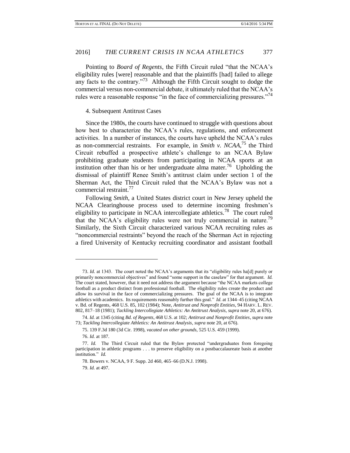Pointing to *Board of Regents*, the Fifth Circuit ruled "that the NCAA's eligibility rules [were] reasonable and that the plaintiffs [had] failed to allege any facts to the contrary."<sup>73</sup> Although the Fifth Circuit sought to dodge the commercial versus non-commercial debate, it ultimately ruled that the NCAA's rules were a reasonable response "in the face of commercializing pressures."<sup>74</sup>

### 4. Subsequent Antitrust Cases

Since the 1980s, the courts have continued to struggle with questions about how best to characterize the NCAA's rules, regulations, and enforcement activities. In a number of instances, the courts have upheld the NCAA's rules as non-commercial restraints. For example, in *Smith v. NCAA*, <sup>75</sup> the Third Circuit rebuffed a prospective athlete's challenge to an NCAA Bylaw prohibiting graduate students from participating in NCAA sports at an institution other than his or her undergraduate alma mater.<sup>76</sup> Upholding the dismissal of plaintiff Renee Smith's antitrust claim under section 1 of the Sherman Act, the Third Circuit ruled that the NCAA's Bylaw was not a commercial restraint.<sup>77</sup>

Following *Smith*, a United States district court in New Jersey upheld the NCAA Clearinghouse process used to determine incoming freshmen's eligibility to participate in NCAA intercollegiate athletics.<sup>78</sup> The court ruled that the NCAA's eligibility rules were not truly commercial in nature.<sup>79</sup> Similarly, the Sixth Circuit characterized various NCAA recruiting rules as "noncommercial restraints" beyond the reach of the Sherman Act in rejecting a fired University of Kentucky recruiting coordinator and assistant football

<sup>73.</sup> *Id.* at 1343. The court noted the NCAA's arguments that its "eligibility rules ha[d] purely or primarily noncommercial objectives" and found "some support in the caselaw" for that argument. *Id.* The court stated, however, that it need not address the argument because "the NCAA markets college football as a product distinct from professional football. The eligibility rules create the product and allow its survival in the face of commercializing pressures. The goal of the NCAA is to integrate athletics with academics. Its requirements reasonably further this goal." *Id.* at 1344–45 (citing NCAA v. Bd. of Regents, 468 U.S. 85, 102 (1984); Note, *Antitrust and Nonprofit Entities*, 94 HARV. L. REV. 802, 817–18 (1981); *Tackling Intercollegiate Athletics: An Antitrust Analysis*, *supra* note 20, at 676).

<sup>74.</sup> *Id.* at 1345 (citing *Bd. of Regents*, 468 U.S. at 102; *Antitrust and Nonprofit Entities*, *supra* note 73; *Tackling Intercollegiate Athletics: An Antitrust Analysis*, *supra* note 20, at 676).

<sup>75. 139</sup> F.3d 180 (3d Cir. 1998), *vacated on other grounds*, 525 U.S. 459 (1999).

<sup>76.</sup> *Id.* at 187.

<sup>77.</sup> *Id.* The Third Circuit ruled that the Bylaw protected "undergraduates from foregoing participation in athletic programs . . . to preserve eligibility on a postbaccalaureate basis at another institution." *Id.*

<sup>78.</sup> Bowers v. NCAA, 9 F. Supp. 2d 460, 465–66 (D.N.J. 1998). 79. *Id.* at 497.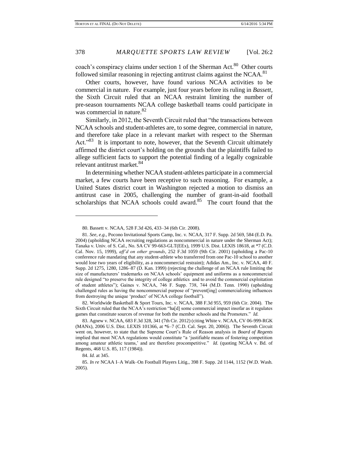coach's conspiracy claims under section 1 of the Sherman Act. $80$  Other courts followed similar reasoning in rejecting antitrust claims against the NCAA.<sup>81</sup>

Other courts, however, have found various NCAA activities to be commercial in nature. For example, just four years before its ruling in *Bassett*, the Sixth Circuit ruled that an NCAA restraint limiting the number of pre-season tournaments NCAA college basketball teams could participate in was commercial in nature.<sup>82</sup>

Similarly, in 2012, the Seventh Circuit ruled that "the transactions between NCAA schools and student-athletes are, to some degree, commercial in nature, and therefore take place in a relevant market with respect to the Sherman Act."<sup>83</sup> It is important to note, however, that the Seventh Circuit ultimately affirmed the district court's holding on the grounds that the plaintiffs failed to allege sufficient facts to support the potential finding of a legally cognizable relevant antitrust market.<sup>84</sup>

In determining whether NCAA student-athletes participate in a commercial market, a few courts have been receptive to such reasoning. For example, a United States district court in Washington rejected a motion to dismiss an antitrust case in 2005, challenging the number of grant-in-aid football scholarships that NCAA schools could award.<sup>85</sup> The court found that the

82. Worldwide Basketball & Sport Tours, Inc. v. NCAA, 388 F.3d 955, 959 (6th Cir. 2004). The Sixth Circuit ruled that the NCAA's restriction "ha[d] some commercial impact insofar as it regulates games that constitute sources of revenue for both the member schools and the Promoters." *Id.*

83. Agnew v. NCAA, 683 F.3d 328, 341 (7th Cir. 2012) (citing White v. NCAA, CV 06-999-RGK (MANx), 2006 U.S. Dist. LEXIS 101366, at \*6–7 (C.D. Cal. Sept. 20, 2006)). The Seventh Circuit went on, however, to state that the Supreme Court's Rule of Reason analysis in *Board of Regents* implied that most NCAA regulations would constitute "a 'justifiable means of fostering competition among amateur athletic teams,' and are therefore procompetitive." *Id.* (quoting NCAA v. Bd. of Regents, 468 U.S. 85, 117 (1984)).

l

<sup>80.</sup> Bassett v. NCAA, 528 F.3d 426, 433–34 (6th Cir. 2008).

<sup>81.</sup> *See, e.g.*, Pocono Invitational Sports Camp, Inc. v. NCAA, 317 F. Supp. 2d 569, 584 (E.D. Pa. 2004) (upholding NCAA recruiting regulations as noncommercial in nature under the Sherman Act); Tanaka v. Univ. of S. Cal., No. SA CV 99-663-GLT(EEx), 1999 U.S. Dist. LEXIS 18618, at \*7 (C.D. Cal. Nov. 15, 1999), *aff'd on other grounds*, 252 F.3d 1059 (9th Cir. 2001) (upholding a Pac-10 conference rule mandating that any student-athlete who transferred from one Pac-10 school to another would lose two years of eligibility, as a noncommercial restraint); Adidas Am., Inc. v. NCAA, 40 F. Supp. 2d 1275, 1280, 1286–87 (D. Kan. 1999) (rejecting the challenge of an NCAA rule limiting the size of manufacturers' trademarks on NCAA schools' equipment and uniforms as a noncommercial rule designed "to preserve the integrity of college athletics and to avoid the commercial exploitation of student athletes"); Gaines v. NCAA, 746 F. Supp. 738, 744 (M.D. Tenn. 1990) (upholding challenged rules as having the noncommercial purpose of "prevent[ing] commercializing influences from destroying the unique 'product' of NCAA college football").

<sup>84.</sup> *Id.* at 345.

<sup>85.</sup> *In re* NCAA I–A Walk–On Football Players Litig., 398 F. Supp. 2d 1144, 1152 (W.D. Wash. 2005).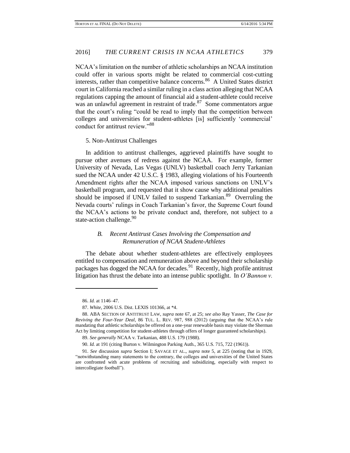NCAA's limitation on the number of athletic scholarships an NCAA institution could offer in various sports might be related to commercial cost-cutting interests, rather than competitive balance concerns.<sup>86</sup> A United States district court in California reached a similar ruling in a class action alleging that NCAA regulations capping the amount of financial aid a student-athlete could receive was an unlawful agreement in restraint of trade.<sup>87</sup> Some commentators argue that the court's ruling "could be read to imply that the competition between colleges and universities for student-athletes [is] sufficiently 'commercial' conduct for antitrust review."<sup>88</sup>

### 5. Non-Antitrust Challenges

In addition to antitrust challenges, aggrieved plaintiffs have sought to pursue other avenues of redress against the NCAA. For example, former University of Nevada, Las Vegas (UNLV) basketball coach Jerry Tarkanian sued the NCAA under 42 U.S.C. § 1983, alleging violations of his Fourteenth Amendment rights after the NCAA imposed various sanctions on UNLV's basketball program, and requested that it show cause why additional penalties should be imposed if UNLV failed to suspend Tarkanian.<sup>89</sup> Overruling the Nevada courts' rulings in Coach Tarkanian's favor, the Supreme Court found the NCAA's actions to be private conduct and, therefore, not subject to a state-action challenge.<sup>90</sup>

### *B. Recent Antitrust Cases Involving the Compensation and Remuneration of NCAA Student-Athletes*

The debate about whether student-athletes are effectively employees entitled to compensation and remuneration above and beyond their scholarship packages has dogged the NCAA for decades.<sup>91</sup> Recently, high profile antitrust litigation has thrust the debate into an intense public spotlight. In *O'Bannon v.* 

l

<sup>86.</sup> *Id.* at 1146–47.

<sup>87.</sup> *White*, 2006 U.S. Dist. LEXIS 101366, at \*4.

<sup>88.</sup> ABA SECTION OF ANTITRUST LAW, *supra* note 67, at 25; *see also* Ray Yasser, *The Case for Reviving the Four-Year Deal*, 86 TUL. L. REV. 987, 988 (2012) (arguing that the NCAA's rule mandating that athletic scholarships be offered on a one-year renewable basis may violate the Sherman Act by limiting competition for student-athletes through offers of longer guaranteed scholarships).

<sup>89.</sup> *See generally* NCAA v. Tarkanian, 488 U.S. 179 (1988).

<sup>90.</sup> *Id.* at 191 (citing Burton v. Wilmington Parking Auth., 365 U.S. 715, 722 (1961)).

<sup>91.</sup> *See* discussion *supra* Section I; SAVAGE ET AL., *supra* note 5, at 225 (noting that in 1929, "notwithstanding many statements to the contrary, the colleges and universities of the United States are confronted with acute problems of recruiting and subsidizing, especially with respect to intercollegiate football").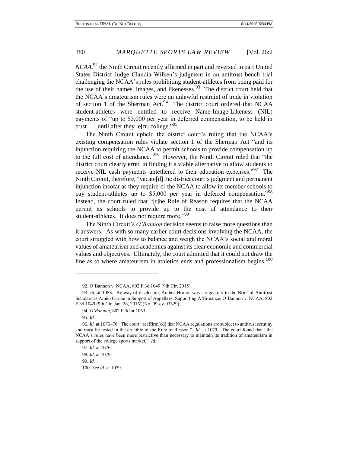*NCAA*, <sup>92</sup> the Ninth Circuit recently affirmed in part and reversed in part United States District Judge Claudia Wilken's judgment in an antitrust bench trial challenging the NCAA's rules prohibiting student-athletes from being paid for the use of their names, images, and likenesses.<sup>93</sup> The district court held that the NCAA's amateurism rules were an unlawful restraint of trade in violation of section 1 of the Sherman Act.<sup>94</sup> The district court ordered that NCAA student-athletes were entitled to receive Name-Image-Likeness (NIL) payments of "up to \$5,000 per year in deferred compensation, to be held in trust . . . until after they le<sup>[ft]</sup> college."<sup>95</sup>

The Ninth Circuit upheld the district court's ruling that the NCAA's existing compensation rules violate section 1 of the Sherman Act "and its injunction requiring the NCAA to permit schools to provide compensation up to the full cost of attendance."<sup>96</sup> However, the Ninth Circuit ruled that "the district court clearly erred in finding it a viable alternative to allow students to receive NIL cash payments untethered to their education expenses."<sup>97</sup> The Ninth Circuit, therefore, "vacate[d] the district court's judgment and permanent injunction insofar as they require[d] the NCAA to allow its member schools to pay student-athletes up to \$5,000 per year in deferred compensation."<sup>98</sup> Instead, the court ruled that "[t]he Rule of Reason requires that the NCAA permit its schools to provide up to the cost of attendance to their student-athletes. It does not require more."<sup>99</sup>

The Ninth Circuit's *O'Bannon* decision seems to raise more questions than it answers. As with so many earlier court decisions involving the NCAA, the court struggled with how to balance and weigh the NCAA's social and moral values of amateurism and academics against its clear economic and commercial values and objectives. Ultimately, the court admitted that it could not draw the line as to where amateurism in athletics ends and professionalism begins. $100$ 

<sup>92.</sup> O'Bannon v. NCAA, 802 F.3d 1049 (9th Cir. 2015).

<sup>93.</sup> *Id.* at 1053. By way of disclosure, Author Horton was a signatory to the Brief of Antitrust Scholars as Amici Curiae in Support of Appellees, Supporting Affirmance, O'Bannon v. NCAA, 802 F.3d 1049 (9th Cir. Jan. 28, 2015) (No. 09-cv-03329).

<sup>94.</sup> *O'Bannon*, 802 F.3d at 1053.

<sup>95.</sup> *Id.*

<sup>96.</sup> *Id.* at 1075–76. The court "reaffirm[ed] that NCAA regulations are subject to antitrust scrutiny and must be tested in the crucible of the Rule of Reason." *Id.* at 1079. The court found that "the NCAA's rules have been more restrictive than necessary to maintain its tradition of amateurism in support of the college sports market." *Id.*

<sup>97.</sup> *Id.* at 1076. 98. *Id.* at 1079. 99. *Id.* 100. *See id.* at 1079.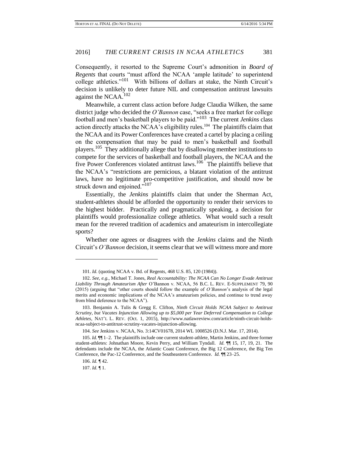Consequently, it resorted to the Supreme Court's admonition in *Board of Regents* that courts "must afford the NCAA 'ample latitude' to superintend college athletics."<sup>101</sup> With billions of dollars at stake, the Ninth Circuit's decision is unlikely to deter future NIL and compensation antitrust lawsuits against the NCAA.<sup>102</sup>

Meanwhile, a current class action before Judge Claudia Wilken, the same district judge who decided the *O'Bannon* case, "seeks a free market for college football and men's basketball players to be paid."<sup>103</sup> The current *Jenkins* class action directly attacks the NCAA's eligibility rules.<sup>104</sup> The plaintiffs claim that the NCAA and its Power Conferences have created a cartel by placing a ceiling on the compensation that may be paid to men's basketball and football players.<sup>105</sup> They additionally allege that by disallowing member institutions to compete for the services of basketball and football players, the NCAA and the five Power Conferences violated antitrust laws.<sup>106</sup> The plaintiffs believe that the NCAA's "restrictions are pernicious, a blatant violation of the antitrust laws, have no legitimate pro-competitive justification, and should now be struck down and enjoined."<sup>107</sup>

Essentially, the *Jenkins* plaintiffs claim that under the Sherman Act, student-athletes should be afforded the opportunity to render their services to the highest bidder. Practically and pragmatically speaking, a decision for plaintiffs would professionalize college athletics. What would such a result mean for the revered tradition of academics and amateurism in intercollegiate sports?

Whether one agrees or disagrees with the *Jenkins* claims and the Ninth Circuit's *O'Bannon* decision, it seems clear that we will witness more and more

 $\overline{\phantom{a}}$ 

107. *Id.* ¶ 1.

<sup>101.</sup> *Id.* (quoting NCAA v. Bd. of Regents, 468 U.S. 85, 120 (1984)).

<sup>102.</sup> *See, e.g.*, Michael T. Jones, *Real Accountability: The NCAA Can No Longer Evade Antitrust Liability Through Amateurism After* O'Bannon v. NCAA, 56 B.C. L. REV. E-SUPPLEMENT 79, 90 (2015) (arguing that "other courts should follow the example of *O'Bannon*'s analysis of the legal merits and economic implications of the NCAA's amateurism policies, and continue to trend away from blind deference to the NCAA").

<sup>103.</sup> Benjamin A. Tulis & Gregg E. Clifton, *Ninth Circuit Holds NCAA Subject to Antitrust Scrutiny, but Vacates Injunction Allowing up to \$5,000 per Year Deferred Compensation to College Athletes*, NAT'L L. REV. (Oct. 1, 2015), http://www.natlawreview.com/article/ninth-circuit-holdsncaa-subject-to-antitrust-scrutiny-vacates-injunction-allowing.

<sup>104.</sup> *See* Jenkins v. NCAA, No. 3:14CV01678, 2014 WL 1008526 (D.N.J. Mar. 17, 2014).

<sup>105.</sup> *Id.* ¶¶ 1–2. The plaintiffs include one current student-athlete, Martin Jenkins, and three former student-athletes: Johnathan Moore, Kevin Perry, and William Tyndall. *Id.* ¶¶ 15, 17, 19, 21. The defendants include the NCAA, the Atlantic Coast Conference, the Big 12 Conference, the Big Ten Conference, the Pac-12 Conference, and the Southeastern Conference. *Id.* ¶¶ 23–25.

<sup>106.</sup> *Id.* ¶ 42.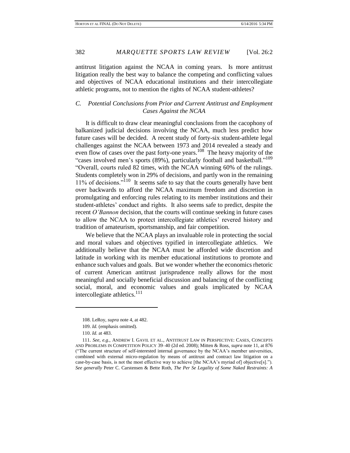antitrust litigation against the NCAA in coming years. Is more antitrust litigation really the best way to balance the competing and conflicting values and objectives of NCAA educational institutions and their intercollegiate athletic programs, not to mention the rights of NCAA student-athletes?

### *C. Potential Conclusions from Prior and Current Antitrust and Employment Cases Against the NCAA*

It is difficult to draw clear meaningful conclusions from the cacophony of balkanized judicial decisions involving the NCAA, much less predict how future cases will be decided. A recent study of forty-six student-athlete legal challenges against the NCAA between 1973 and 2014 revealed a steady and even flow of cases over the past forty-one years.<sup>108</sup> The heavy majority of the "cases involved men's sports (89%), particularly football and basketball."<sup>109</sup> "Overall, courts ruled 82 times, with the NCAA winning 60% of the rulings. Students completely won in 29% of decisions, and partly won in the remaining 11% of decisions."<sup>110</sup> It seems safe to say that the courts generally have bent over backwards to afford the NCAA maximum freedom and discretion in promulgating and enforcing rules relating to its member institutions and their student-athletes' conduct and rights. It also seems safe to predict, despite the recent *O'Bannon* decision, that the courts will continue seeking in future cases to allow the NCAA to protect intercollegiate athletics' revered history and tradition of amateurism, sportsmanship, and fair competition.

We believe that the NCAA plays an invaluable role in protecting the social and moral values and objectives typified in intercollegiate athletics. We additionally believe that the NCAA must be afforded wide discretion and latitude in working with its member educational institutions to promote and enhance such values and goals. But we wonder whether the economics rhetoric of current American antitrust jurisprudence really allows for the most meaningful and socially beneficial discussion and balancing of the conflicting social, moral, and economic values and goals implicated by NCAA intercollegiate athletics.<sup>111</sup>

<sup>108.</sup> LeRoy, *supra* note 4, at 482.

<sup>109.</sup> *Id.* (emphasis omitted).

<sup>110.</sup> *Id.* at 483.

<sup>111.</sup> *See, e.g.*, ANDREW I. GAVIL ET AL., ANTITRUST LAW IN PERSPECTIVE: CASES, CONCEPTS AND PROBLEMS IN COMPETITION POLICY 39–40 (2d ed. 2008); Mitten & Ross, *supra* note 11, at 876 ("The current structure of self-interested internal governance by the NCAA's member universities, combined with external micro-regulation by means of antitrust and contract law litigation on a case-by-case basis, is not the most effective way to achieve [the NCAA's myriad of] objective[s]."). *See generally* Peter C. Carstensen & Bette Roth, *The Per Se Legality of Some Naked Restraints: A*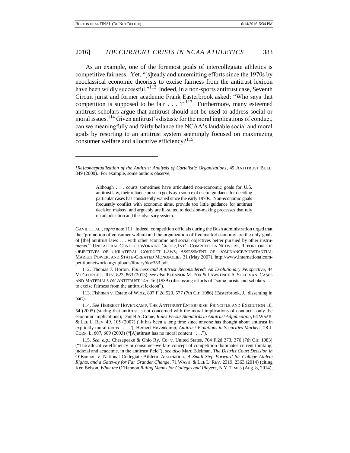As an example, one of the foremost goals of intercollegiate athletics is competitive fairness. Yet, "[s]teady and unremitting efforts since the 1970s by neoclassical economic theorists to excise fairness from the antitrust lexicon have been wildly successful."<sup>112</sup> Indeed, in a non-sports antitrust case, Seventh Circuit jurist and former academic Frank Easterbrook asked: "Who says that competition is supposed to be fair  $\ldots$  ?"<sup>113</sup> Furthermore, many esteemed antitrust scholars argue that antitrust should not be used to address social or moral issues.<sup>114</sup> Given antitrust's distaste for the moral implications of conduct, can we meaningfully and fairly balance the NCAA's laudable social and moral goals by resorting to an antitrust system seemingly focused on maximizing consumer welfare and allocative efficiency? $115$ 

 $\overline{\phantom{a}}$ 

Although . . . courts sometimes have articulated non-economic goals for U.S. antitrust law, their reliance on such goals as a source of useful guidance for deciding particular cases has consistently waned since the early 1970s. Non-economic goals frequently conflict with economic aims, provide too little guidance for antitrust decision makers, and arguably are ill-suited to decision-making processes that rely on adjudication and the adversary system.

GAVIL ET AL.,*supra* note 111. Indeed, competition officials during the Bush administration urged that the "promotion of consumer welfare and the organization of free market economy are the only goals of [the] antitrust laws . . . with other economic and social objectives better pursued by other instruments." UNILATERAL CONDUCT WORKING GROUP, INT'L COMPETITION NETWORK, REPORT ON THE OBJECTIVES OF UNILATERAL CONDUCT LAWS, ASSESSMENT OF DOMINANCE/SUBSTANTIAL MARKET POWER, AND STATE-CREATED MONOPOLIES 31 (May 2007), http://www.internationalcompetitionnetwork.org/uploads/library/doc353.pdf.

112. Thomas J. Horton, *Fairness and Antitrust Reconsidered: An Evolutionary Perspective*, 44 MCGEORGE L. REV. 823, 863 (2013); *see also* ELEANOR M. FOX & LAWRENCE A. SULLIVAN, CASES AND MATERIALS ON ANTITRUST 145–46 (1989) (discussing efforts of "some jurists and scholars . . . to excise fairness from the antitrust lexicon").

113. Fishman v. Estate of Wirtz, 807 F.2d 520, 577 (7th Cir. 1986) (Easterbrook, J., dissenting in part).

114. *See* HERBERT HOVENKAMP, THE ANTITRUST ENTERPRISE: PRINCIPLE AND EXECUTION 10, 54 (2005) (stating that antitrust is not concerned with the moral implications of conduct—only the economic implications); Daniel A. Crane, *Rules Versus Standards in Antitrust Adjudication*, 64 WASH. & LEE L. REV. 49, 105 (2007) ("It has been a long time since anyone has thought about antitrust in explicitly moral terms . . . ."); Herbert Hovenkamp, *Antitrust Violations in Securities Markets*, 28 J. CORP. L. 607, 609 (2003) ("[A]ntitrust has no moral content . . . .").

115. *See, e.g.*, Chesapeake & Ohio Ry. Co. v. United States, 704 F.2d 373, 376 (7th Cir. 1983) ("The allocative-efficiency or consumer-welfare concept of competition dominates current thinking, judicial and academic, in the antitrust field"); *see also* Marc Edelman, *The District Court Decision in*  O'Bannon v. National Collegiate Athletic Association*: A Small Step Forward for College-Athlete Rights, and a Gateway for Far Grander Change*, 71 WASH. & LEE L. REV. 2319, 2363 (2014) (citing Ken Belson, *What the* O'Bannon *Ruling Means for Colleges and Players*, N.Y. TIMES (Aug. 8, 2014),

*<sup>[</sup>Re]conceptualization of the Antitrust Analysis of Cartelistic Organizations*, 45 ANTITRUST BULL. 349 (2000). For example, some authors observe,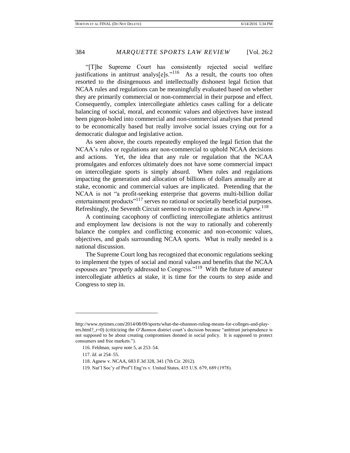"[T]he Supreme Court has consistently rejected social welfare justifications in antitrust analys $[e]$ s."<sup>116</sup> As a result, the courts too often resorted to the disingenuous and intellectually dishonest legal fiction that NCAA rules and regulations can be meaningfully evaluated based on whether they are primarily commercial or non-commercial in their purpose and effect. Consequently, complex intercollegiate athletics cases calling for a delicate balancing of social, moral, and economic values and objectives have instead been pigeon-holed into commercial and non-commercial analyses that pretend to be economically based but really involve social issues crying out for a democratic dialogue and legislative action.

As seen above, the courts repeatedly employed the legal fiction that the NCAA's rules or regulations are non-commercial to uphold NCAA decisions and actions. Yet, the idea that any rule or regulation that the NCAA promulgates and enforces ultimately does not have some commercial impact on intercollegiate sports is simply absurd. When rules and regulations impacting the generation and allocation of billions of dollars annually are at stake, economic and commercial values are implicated. Pretending that the NCAA is not "a profit-seeking enterprise that governs multi-billion dollar entertainment products<sup>"117</sup> serves no rational or societally beneficial purposes. Refreshingly, the Seventh Circuit seemed to recognize as much in *Agnew*. 118

A continuing cacophony of conflicting intercollegiate athletics antitrust and employment law decisions is not the way to rationally and coherently balance the complex and conflicting economic and non-economic values, objectives, and goals surrounding NCAA sports. What is really needed is a national discussion.

The Supreme Court long has recognized that economic regulations seeking to implement the types of social and moral values and benefits that the NCAA espouses are "properly addressed to Congress."<sup>119</sup> With the future of amateur intercollegiate athletics at stake, it is time for the courts to step aside and Congress to step in.

http://www.nytimes.com/2014/08/09/sports/what-the-obannon-ruling-means-for-colleges-and-players.html?\_r=0) (criticizing the *O'Bannon* district court's decision because "antitrust jurisprudence is not supposed to be about creating compromises donned in social policy. It is supposed to protect consumers and free markets.").

<sup>116.</sup> Feldman, *supra* note 5, at 253–54.

<sup>117.</sup> *Id.* at 254–55.

<sup>118.</sup> Agnew v. NCAA, 683 F.3d 328, 341 (7th Cir. 2012).

<sup>119.</sup> Nat'l Soc'y of Prof'l Eng'rs v. United States, 435 U.S. 679, 689 (1978).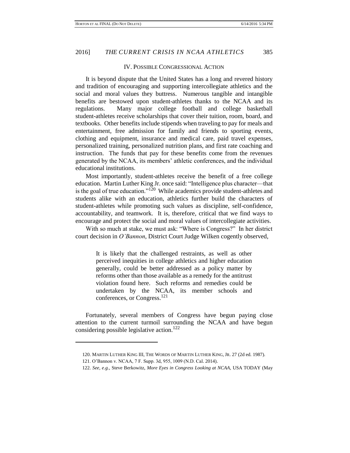### IV. POSSIBLE CONGRESSIONAL ACTION

It is beyond dispute that the United States has a long and revered history and tradition of encouraging and supporting intercollegiate athletics and the social and moral values they buttress. Numerous tangible and intangible benefits are bestowed upon student-athletes thanks to the NCAA and its regulations. Many major college football and college basketball student-athletes receive scholarships that cover their tuition, room, board, and textbooks. Other benefits include stipends when traveling to pay for meals and entertainment, free admission for family and friends to sporting events, clothing and equipment, insurance and medical care, paid travel expenses, personalized training, personalized nutrition plans, and first rate coaching and instruction. The funds that pay for these benefits come from the revenues generated by the NCAA, its members' athletic conferences, and the individual educational institutions.

Most importantly, student-athletes receive the benefit of a free college education. Martin Luther King Jr. once said: "Intelligence plus character—that is the goal of true education."<sup>120</sup> While academics provide student-athletes and students alike with an education, athletics further build the characters of student-athletes while promoting such values as discipline, self-confidence, accountability, and teamwork. It is, therefore, critical that we find ways to encourage and protect the social and moral values of intercollegiate activities.

With so much at stake, we must ask: "Where is Congress?" In her district court decision in *O'Bannon*, District Court Judge Wilken cogently observed,

> It is likely that the challenged restraints, as well as other perceived inequities in college athletics and higher education generally, could be better addressed as a policy matter by reforms other than those available as a remedy for the antitrust violation found here. Such reforms and remedies could be undertaken by the NCAA, its member schools and conferences, or Congress.<sup>121</sup>

Fortunately, several members of Congress have begun paying close attention to the current turmoil surrounding the NCAA and have begun considering possible legislative action.<sup>122</sup>

<sup>120.</sup> MARTIN LUTHER KING III, THE WORDS OF MARTIN LUTHER KING, JR. 27 (2d ed. 1987).

<sup>121.</sup> O'Bannon v. NCAA, 7 F. Supp. 3d, 955, 1009 (N.D. Cal. 2014).

<sup>122.</sup> *See, e.g.*, Steve Berkowitz, *More Eyes in Congress Looking at NCAA*, USA TODAY (May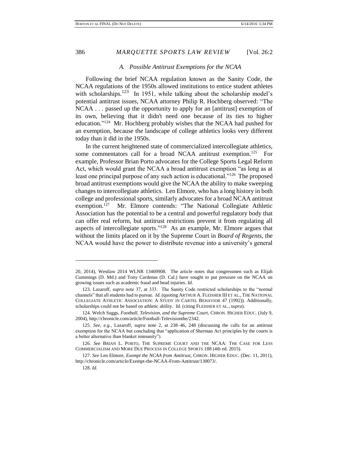### *A. Possible Antitrust Exemptions for the NCAA*

Following the brief NCAA regulation known as the Sanity Code, the NCAA regulations of the 1950s allowed institutions to entice student athletes with scholarships.<sup>123</sup> In 1951, while talking about the scholarship model's potential antitrust issues, NCAA attorney Philip R. Hochberg observed: "The NCAA . . . passed up the opportunity to apply for an [antitrust] exemption of its own, believing that it didn't need one because of its ties to higher education."<sup>124</sup> Mr. Hochberg probably wishes that the NCAA had pushed for an exemption, because the landscape of college athletics looks very different today than it did in the 1950s.

In the current heightened state of commercialized intercollegiate athletics, some commentators call for a broad NCAA antitrust exemption.<sup>125</sup> For example, Professor Brian Porto advocates for the College Sports Legal Reform Act, which would grant the NCAA a broad antitrust exemption "as long as at least one principal purpose of any such action is educational."<sup>126</sup> The proposed broad antitrust exemptions would give the NCAA the ability to make sweeping changes to intercollegiate athletics. Len Elmore, who has a long history in both college and professional sports, similarly advocates for a broad NCAA antitrust exemption.<sup>127</sup> Mr. Elmore contends: "The National Collegiate Athletic Association has the potential to be a central and powerful regulatory body that can offer real reform, but antitrust restrictions prevent it from regulating all aspects of intercollegiate sports." $128$  As an example, Mr. Elmore argues that without the limits placed on it by the Supreme Court in *Board of Regents*, the NCAA would have the power to distribute revenue into a university's general

<sup>20, 2014),</sup> Westlaw 2014 WLNR 13469908. The article notes that congressmen such as Elijah Cummings (D. Md.) and Tony Cardenas (D. Cal.) have sought to put pressure on the NCAA on growing issues such as academic fraud and head injuries. *Id.*

<sup>123.</sup> Lazaroff, *supra* note 37, at 333. The Sanity Code restricted scholarships to the "normal channels" that all students had to pursue. *Id.* (quoting ARTHUR A. FLEISHER III ET AL., THE NATIONAL COLLEGIATE ATHLETIC ASSOCIATION: A STUDY IN CARTEL BEHAVIOR 47 (1992)). Additionally, scholarships could not be based on athletic ability. *Id.* (citing FLEISHER ET AL., *supra*).

<sup>124.</sup> Welch Suggs, *Football, Television, and the Supreme Court*, CHRON. HIGHER EDUC. (July 9, 2004), http://chronicle.com/article/Football-Televisionthe/2342.

<sup>125.</sup> *See, e.g.*, Lazaroff, *supra* note 2, at 238–46, 248 (discussing the calls for an antitrust exemption for the NCAA but concluding that "application of Sherman Act principles by the courts is a better alternative than blanket immunity").

<sup>126.</sup> *See* BRIAN L. PORTO, THE SUPREME COURT AND THE NCAA: THE CASE FOR LESS COMMERCIALISM AND MORE DUE PROCESS IN COLLEGE SPORTS 188 (4th ed. 2015).

<sup>127.</sup> *See* Len Elmore, *Exempt the NCAA from Antitrust*, CHRON. HIGHER EDUC. (Dec. 11, 2011), http://chronicle.com/article/Exempt-the-NCAA-From-Antitrust/130073/.

<sup>128.</sup> *Id.*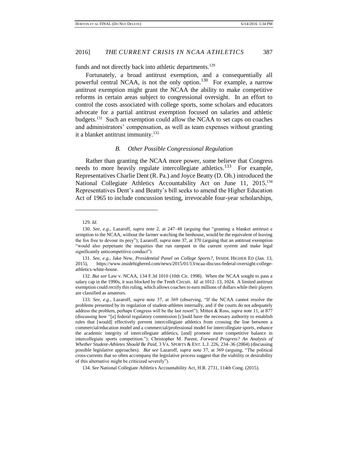funds and not directly back into athletic departments.<sup>129</sup>

Fortunately, a broad antitrust exemption, and a consequentially all powerful central NCAA, is not the only option.<sup>130</sup> For example, a narrow antitrust exemption might grant the NCAA the ability to make competitive reforms in certain areas subject to congressional oversight. In an effort to control the costs associated with college sports, some scholars and educators advocate for a partial antitrust exemption focused on salaries and athletic budgets.<sup>131</sup> Such an exemption could allow the NCAA to set caps on coaches and administrators' compensation, as well as team expenses without granting it a blanket antitrust immunity.<sup>132</sup>

### *B. Other Possible Congressional Regulation*

Rather than granting the NCAA more power, some believe that Congress needs to more heavily regulate intercollegiate athletics.<sup>133</sup> For example, Representatives Charlie Dent (R. Pa.) and Joyce Beatty (D. Oh.) introduced the National Collegiate Athletics Accountability Act on June 11, 2015.<sup>134</sup> Representatives Dent's and Beatty's bill seeks to amend the Higher Education Act of 1965 to include concussion testing, irrevocable four-year scholarships,

l

132. *But see* Law v. NCAA, 134 F.3d 1010 (10th Cir. 1998). When the NCAA sought to pass a salary cap in the 1990s, it was blocked by the Tenth Circuit. *Id.* at 1012–13, 1024. A limited antitrust exemption could rectify this ruling, which allows coaches to earn millions of dollars while their players are classified as amateurs.

133. *See, e.g.*, Lazaroff, *supra* note 37, at 369 (observing, "If the NCAA cannot resolve the problems presented by its regulation of student-athletes internally, and if the courts do not adequately address the problem, perhaps Congress will be the last resort"); Mitten & Ross, *supra* note 11, at 877 (discussing how "[a] federal regulatory commission [c]ould have the necessary authority to establish rules that [would] effectively prevent intercollegiate athletics from crossing the line between a commercial/education model and a commercial/professional model for intercollegiate sports, enhance the academic integrity of intercollegiate athletics, [and] promote more competitive balance in intercollegiate sports competition."); Christopher M. Parent, *Forward Progress? An Analysis of Whether Student-Athletes Should Be Paid*, 3 VA. SPORTS & ENT. L.J. 226, 234–36 (2004) (discussing possible legislative approaches). *But see* Lazaroff, *supra* note 37, at 369 (arguing, "The political cross-currents that so often accompany the legislative process suggest that the viability or desirability of this alternative might be criticized severely").

134. *See* National Collegiate Athletics Accountability Act, H.R. 2731, 114th Cong. (2015).

<sup>129.</sup> *Id.*

<sup>130.</sup> *See, e.g.*, Lazaroff, *supra* note 2, at 247–48 (arguing that "granting a blanket antitrust e xemption to the NCAA, without the farmer watching the henhouse, would be the equivalent of leaving the fox free to devour its prey"); Lazaroff, *supra* note 37, at 370 (arguing that an antitrust exemption "would also perpetuate the inequities that run rampant in the current system and make legal significantly anticompetitive conduct").

<sup>131.</sup> *See, e.g.*, Jake New, *Presidential Panel on College Sports?*, INSIDE HIGHER ED (Jan. 13, 2015), https://www.insidehighered.com/news/2015/01/13/ncaa-discuss-federal-oversight-collegeathletics-white-house.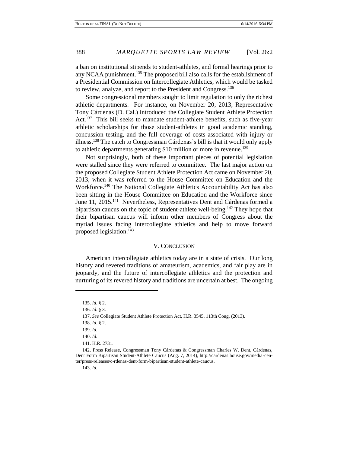a ban on institutional stipends to student-athletes, and formal hearings prior to any NCAA punishment.<sup>135</sup> The proposed bill also calls for the establishment of a Presidential Commission on Intercollegiate Athletics, which would be tasked to review, analyze, and report to the President and Congress.<sup>136</sup>

Some congressional members sought to limit regulation to only the richest athletic departments. For instance, on November 20, 2013, Representative Tony Cárdenas (D. Cal.) introduced the Collegiate Student Athlete Protection Act.<sup>137</sup> This bill seeks to mandate student-athlete benefits, such as five-year athletic scholarships for those student-athletes in good academic standing, concussion testing, and the full coverage of costs associated with injury or illness.<sup>138</sup> The catch to Congressman Cárdenas's bill is that it would only apply to athletic departments generating  $$10$  million or more in revenue.<sup>139</sup>

Not surprisingly, both of these important pieces of potential legislation were stalled since they were referred to committee. The last major action on the proposed Collegiate Student Athlete Protection Act came on November 20, 2013, when it was referred to the House Committee on Education and the Workforce.<sup>140</sup> The National Collegiate Athletics Accountability Act has also been sitting in the House Committee on Education and the Workforce since June 11, 2015.<sup>141</sup> Nevertheless, Representatives Dent and Cárdenas formed a bipartisan caucus on the topic of student-athlete well-being.<sup>142</sup> They hope that their bipartisan caucus will inform other members of Congress about the myriad issues facing intercollegiate athletics and help to move forward proposed legislation.<sup>143</sup>

### V. CONCLUSION

American intercollegiate athletics today are in a state of crisis. Our long history and revered traditions of amateurism, academics, and fair play are in jeopardy, and the future of intercollegiate athletics and the protection and nurturing of its revered history and traditions are uncertain at best. The ongoing

<sup>135.</sup> *Id.* § 2.

<sup>136.</sup> *Id.* § 3.

<sup>137.</sup> *See* Collegiate Student Athlete Protection Act, H.R. 3545, 113th Cong. (2013).

<sup>138.</sup> *Id.* § 2.

<sup>139.</sup> *Id.*

<sup>140.</sup> *Id.*

<sup>141.</sup> H.R. 2731.

<sup>142.</sup> Press Release, Congressman Tony Cárdenas & Congressman Charles W. Dent, Cárdenas, Dent Form Bipartisan Student-Athlete Caucus (Aug. 7, 2014), http://cardenas.house.gov/media-center/press-releases/c-rdenas-dent-form-bipartisan-student-athlete-caucus.

<sup>143.</sup> *Id.*